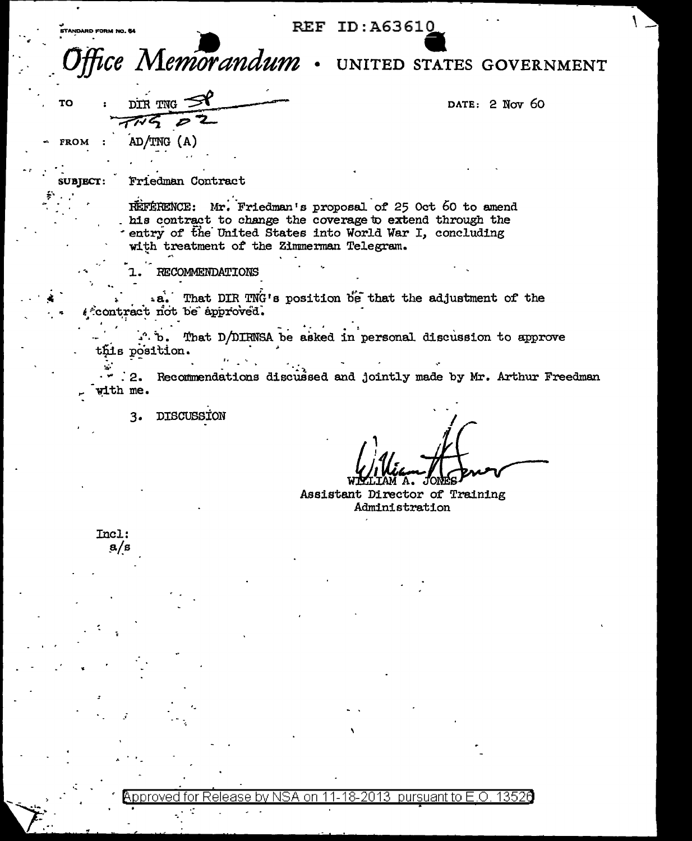## **REF ID:A63610**

Memorandum UNITED STATES GOVERNMENT

DATE: 2 Nov 60

TO

**SUBJECT:** 

FROM :  $AD/TNG (A)$ 

DIR TNG

Friedman Contract

REFERENCE: Mr. Friedman's proposal of 25 Oct 60 to amend his contract to change the coverage to extend through the entry of the United States into World War I, concluding with treatment of the Zimmerman Telegram.

**RECOMMENDATIONS** 

.a. That DIR TNG's position be that the adjustment of the ffcontract not be approved.

. b. That D/DIRNSA be asked in personal discussion to approve this position.

2. Recommendations discussed and jointly made by Mr. Arthur Freedman with me.

**DISCUSSION**  $3.$ 

Assistant Director of Training Administration

Incl:  $a/s$ 

> nrove t∩r nn pursuant to E.O 13526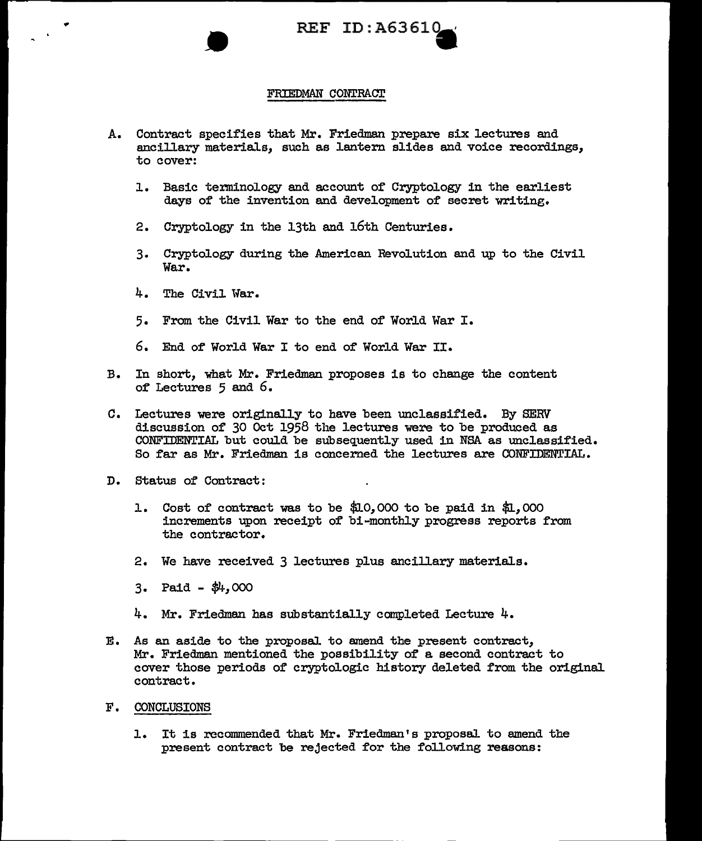

## FRIEDMAN CONTRACT

- A. Contract specifies that Mr. Friedman prepare six lectures and ancillary materials, such as lantern slides and voice recordings, to cover:
	- 1. Basic terminology and account of Cryptology in the earliest days of the invention and development of secret writing.
	- 2. Cryptology in the 13th and 16th Centuries.
	- 3. Cryptology during the American Revolution and up to the Civil War.
	- 4. The Civil War.
	- 5. From the Civil War to the end of World War I.
	- 6. End of World War I to end of World War II.
- B. In short, 'What Mr. Friedman proposes is to change the content of Lectures 5 and 6.
- C. Lectures were originally to have been unclassified. By SERV discussion of 30 Oct 1958 the lectures were to be produced as CONFIDENTIAL but could be subsequently used in NSA as unclassified. So far as Mr. Friedman is concerned the lectures are CONFIDENTIAL.
- D. Status of Contract:
	- 1. Cost of contract was to be \$Lo, 000 to be paid in \$1., 000 increments upon receipt of bi-monthly progress reports from the contractor.
	- 2. We have received 3 lectures plus ancillary materials.
	- $3.$  Paid  $\frac{4}{3}$ ,000
	- 4. Mr. Friedman has substantially completed Lecture 4.
- E. As an aside to the proposal to amend the present contract, Mr. Friedman mentioned the possibility of a second contract to cover those periods of cryptologic history deleted from the original. contract.
- F. CONCLUSIONS
	- 1. It is recommended that Mr. Friedman's proposal. to amend the present contract be rejected for the following reasons: